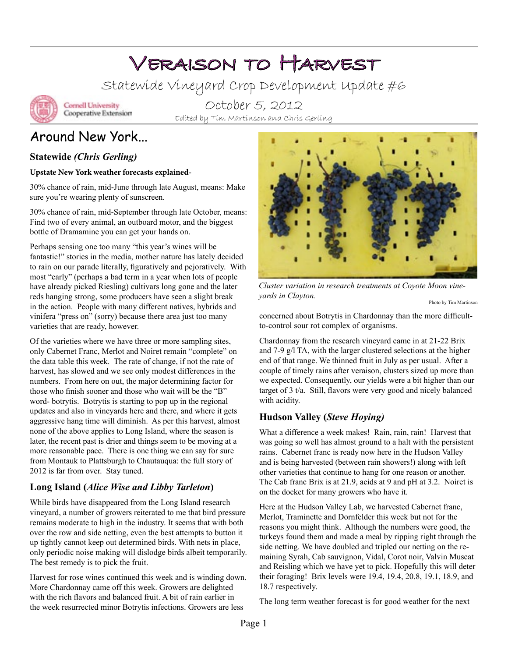# Veraison to Harvest

Statewide Vineyard Crop Development Update #6



**Cornell University** Cooperative Extension

October 5, 2012 Edited by Tim Martinson and Chris Gerling

# Around New York...

#### **Statewide** *(Chris Gerling)*

#### **Upstate New York weather forecasts explained-**

30% chance of rain, mid-June through late August, means: Make sure you're wearing plenty of sunscreen.

30% chance of rain, mid-September through late October, means: Find two of every animal, an outboard motor, and the biggest bottle of Dramamine you can get your hands on.

Perhaps sensing one too many "this year's wines will be fantastic!" stories in the media, mother nature has lately decided to rain on our parade literally, figuratively and pejoratively. With most "early" (perhaps a bad term in a year when lots of people have already picked Riesling) cultivars long gone and the later reds hanging strong, some producers have seen a slight break in the action. People with many different natives, hybrids and vinifera "press on" (sorry) because there area just too many varieties that are ready, however.

Of the varieties where we have three or more sampling sites, only Cabernet Franc, Merlot and Noiret remain "complete" on the data table this week. The rate of change, if not the rate of harvest, has slowed and we see only modest differences in the numbers. From here on out, the major determining factor for those who finish sooner and those who wait will be the "B" word- botrytis. Botrytis is starting to pop up in the regional updates and also in vineyards here and there, and where it gets aggressive hang time will diminish. As per this harvest, almost none of the above applies to Long Island, where the season is later, the recent past is drier and things seem to be moving at a more reasonable pace. There is one thing we can say for sure from Montauk to Plattsburgh to Chautauqua: the full story of 2012 is far from over. Stay tuned.

#### **Long Island (***Alice Wise and Libby Tarleton***)**

While birds have disappeared from the Long Island research vineyard, a number of growers reiterated to me that bird pressure remains moderate to high in the industry. It seems that with both over the row and side netting, even the best attempts to button it up tightly cannot keep out determined birds. With nets in place, only periodic noise making will dislodge birds albeit temporarily. The best remedy is to pick the fruit.

Harvest for rose wines continued this week and is winding down. More Chardonnay came off this week. Growers are delighted with the rich flavors and balanced fruit. A bit of rain earlier in the week resurrected minor Botrytis infections. Growers are less



*Cluster variation in research treatments at Coyote Moon vineyards in Clayton.* 

Photo by Tim Martinson

concerned about Botrytis in Chardonnay than the more difficultto-control sour rot complex of organisms.

Chardonnay from the research vineyard came in at 21-22 Brix and 7-9 g/l TA, with the larger clustered selections at the higher end of that range. We thinned fruit in July as per usual. After a couple of timely rains after veraison, clusters sized up more than we expected. Consequently, our yields were a bit higher than our target of 3 t/a. Still, flavors were very good and nicely balanced with acidity.

#### **Hudson Valley (***Steve Hoying)*

What a difference a week makes! Rain, rain, rain! Harvest that was going so well has almost ground to a halt with the persistent rains. Cabernet franc is ready now here in the Hudson Valley and is being harvested (between rain showers!) along with left other varieties that continue to hang for one reason or another. The Cab franc Brix is at 21.9, acids at 9 and pH at 3.2. Noiret is on the docket for many growers who have it.

Here at the Hudson Valley Lab, we harvested Cabernet franc, Merlot, Traminette and Dornfelder this week but not for the reasons you might think. Although the numbers were good, the turkeys found them and made a meal by ripping right through the side netting. We have doubled and tripled our netting on the remaining Syrah, Cab sauvignon, Vidal, Corot noir, Valvin Muscat and Reisling which we have yet to pick. Hopefully this will deter their foraging! Brix levels were 19.4, 19.4, 20.8, 19.1, 18.9, and 18.7 respectively.

The long term weather forecast is for good weather for the next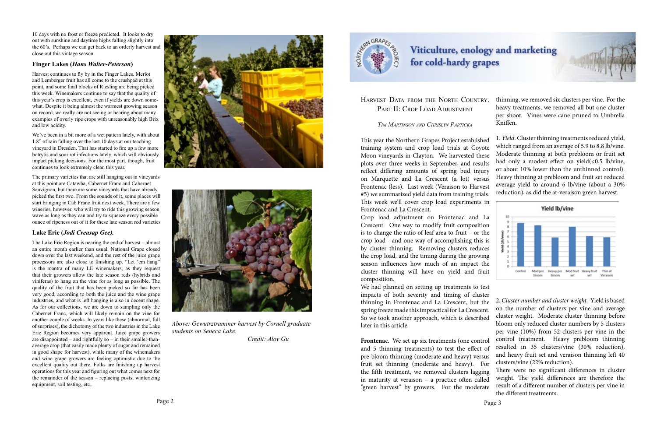10 days with no frost or freeze predicted. It looks to dry out with sunshine and daytime highs falling slightly into the 60's. Perhaps we can get back to an orderly harvest and close out this vintage season.

#### **Finger Lakes (***Hans Walter-Peterson***)**

Harvest continues to fly by in the Finger Lakes. Merlot and Lemberger fruit has all come to the crushpad at this point, and some final blocks of Riesling are being picked this week. Winemakers continue to say that the quality of this year's crop is excellent, even if yields are down somewhat. Despite it being almost the warmest growing season on record, we really are not seeing or hearing about many examples of overly ripe crops with unreasonably high Brix and low acidity.

We've been in a bit more of a wet pattern lately, with about 1.8" of rain falling over the last 10 days at our teaching vineyard in Dresden. That has started to fire up a few more botrytis and sour rot infections lately, which will obviously impact picking decisions. For the most part, though, fruit continues to look extremely clean this year.

The primary varieties that are still hanging out in vineyards at this point are Catawba, Cabernet Franc and Cabernet Sauvignon, but there are some vineyards that have already picked the first two. From the sounds of it, some places will start bringing in Cab Franc fruit next week. There are a few wineries, however, who will try to ride this growing season wave as long as they can and try to squeeze every possible ounce of ripeness out of it for these late season red varieties

#### **Lake Erie (***Jodi Creasap Gee).*

The Lake Erie Region is nearing the end of harvest – almost an entire month earlier than usual. National Grape closed down over the last weekend, and the rest of the juice grape processors are also close to finishing up. "Let 'em hang" is the mantra of many LE winemakers, as they request that their growers allow the late season reds (hybrids and viniferas) to hang on the vine for as long as possible. The quality of the fruit that has been picked so far has been very good, according to both the juice and the wine grape industries, and what is left hanging is also in decent shape. As for our collections, we are down to sampling only the Cabernet Franc, which will likely remain on the vine for another couple of weeks. In years like these (abnormal, full of surprises), the dichotomy of the two industries in the Lake Erie Region becomes very apparent. Juice grape growers are disappointed – and rightfully so – in their smaller-thanaverage crop (that easily made plenty of sugar and remained in good shape for harvest), while many of the winemakers and wine grape growers are feeling optimistic due to the excellent quality out there. Folks are finishing up harvest operations for this year and figuring out what comes next for the remainder of the season – replacing posts, winterizing equipment, soil testing, etc..





#### *Tim Martinson and Chrislyn Particka*

Crop load adjustment on Frontenac and La Crescent. One way to modify fruit composition is to change the ratio of leaf area to fruit – or the crop load - and one way of accomplishing this is by cluster thinning. Removing clusters reduces the crop load, and the timing during the growing season influences how much of an impact the cluster thinning will have on yield and fruit composition.

1. *Yield*. Cluster thinning treatments reduced yield, This year the Northern Grapes Project established which ranged from an average of 5.9 to 8.8 lb/vine. training system and crop load trials at Coyote Moderate thinning at both prebloom or fruit set Moon vineyards in Clayton. We harvested these had only a modest effect on yield(<0.5 lb/vine, plots over three weeks in September, and results or about 10% lower than the unthinned control). reflect differing amounts of spring bud injury Heavy thinning at prebloom and fruit set reduced on Marquette and La Crescent (a lot) versus average yield to around 6 lb/vine (about a 30% Frontenac (less). Last week (Veraison to Harvest reduction), as did the at-veraison green harvest. #5) we summarized yield data from training trials. This week we'll cover crop load experiments in Yield lb/vine Frontenac and La Crescent.

thinning, we removed six clusters per vine. For the heavy treatments, we removed all but one cluster per shoot. Vines were cane pruned to Umbrella Kniffen.



Page 2 Page 3

We had planned on setting up treatments to test impacts of both severity and timing of cluster thinning in Frontenac and La Crescent, but the spring freeze made this impractical for La Crescent. So we took another approach, which is described later in this article. **Frontenac**. We set up six treatments (one control and 5 thinning treatments) to test the effect of pre-bloom thinning (moderate and heavy) versus 2. *Cluster number and cluster weight.* Yield is based on the number of clusters per vine and average cluster weight. Moderate cluster thinning before bloom only reduced cluster numbers by 5 clusters per vine (10%) from 52 clusters per vine in the control treatment. Heavy prebloom thinning resulted in 35 clusters/vine (30% reduction), and heavy fruit set and veraison thinning left 40 clusters/vine (22% reduction).

fruit set thinning (moderate and heavy). For the fifth treatment, we removed clusters lagging in maturity at veraison – a practice often called "green harvest" by growers. For the moderate There were no significant differences in cluster weight. The yield differences are therefore the result of a different number of clusters per vine in the different treatments.



*Above: Gewutrztraminer harvest by Cornell graduate students on Seneca Lake.* 

 *Credit: Aloy Gu*



# for cold-hardy grapes

### HARVEST DATA FROM THE NORTH COUNTRY. PART II: CROP LOAD ADJUSTMENT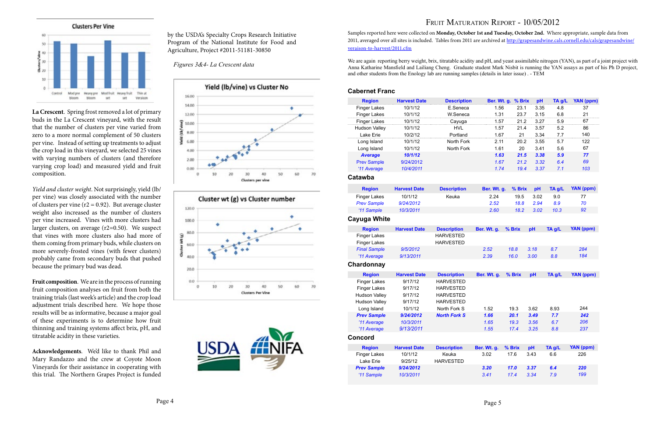

**La Crescent**. Spring frost removed a lot of primary buds in the La Crescent vineyard, with the result that the number of clusters per vine varied from zero to a more normal complement of 50 clusters per vine. Instead of setting up treatments to adjust the crop load in this vineyard, we selected 25 vines with varying numbers of clusters (and therefore varying crop load) and measured yield and fruit composition.

*Yield and cluster weight*. Not surprisingly, yield (lb/ per vine) was closely associated with the number of clusters per vine ( $r2 = 0.92$ ). But average cluster weight also increased as the number of clusters per vine increased. Vines with more clusters had larger clusters, on average (r2=0.50). We suspect that vines with more clusters also had more of them coming from primary buds, while clusters on more severely-frosted vines (with fewer clusters) probably came from secondary buds that pushed because the primary bud was dead.

**Fruit composition**. We are in the process of running fruit composition analyses on fruit from both the training trials (last week's article) and the crop load adjustment trials described here. We hope those results will be as informative, because a major goal of these experiments is to determine how fruit thinning and training systems affect brix, pH, and titratable acidity in these varieties.

**Acknowledgements**. We'd like to thank Phil and Mary Randazzo and the crew at Coyote Moon Vineyards for their assistance in cooperating with this trial. The Northern Grapes Project is funded

by the USDA's Specialty Crops Research Initiative Program of the National Institute for Food and Agriculture, Project #2011-51181-30850

*Figures 3&4- La Crescent data*







Samples reported here were collected on **Monday, October 1st and Tuesday, October 2nd.** Where appropriate, sample data from 2011, averaged over all sites is included. Tables from 2011 are archived at [http://grapesandwine.cals.cornell.edu/cals/grapesandwine/](http://grapesandwine.cals.cornell.edu/cals/grapesandwine/veraison-to-harvest/2011.cfm) [veraison-to-harvest/2011.cfm](http://grapesandwine.cals.cornell.edu/cals/grapesandwine/veraison-to-harvest/2011.cfm)

We are again reporting berry weight, brix, titratable acidity and pH, and yeast assimilable nitrogen (YAN), as part of a joint project with Anna Katharine Mansfield and Lailiang Cheng. Graduate student Mark Nisbit is running the YAN assays as part of his Ph D project, and other students from the Enology lab are running samples (details in later issue) . - TEM

#### **Cabernet Franc**

| <b>Region</b>                                                                              | <b>Harvest Date</b>                      | <b>Description</b>                                                           | Ber. Wt. g. | % Brix | pH   | TA g/L | <b>YAN (ppm)</b> |
|--------------------------------------------------------------------------------------------|------------------------------------------|------------------------------------------------------------------------------|-------------|--------|------|--------|------------------|
| <b>Finger Lakes</b>                                                                        | 10/1/12                                  | E.Seneca                                                                     | 1.56        | 23.1   | 3.35 | 4.8    | 37               |
| <b>Finger Lakes</b>                                                                        | 10/1/12                                  | W.Seneca                                                                     | 1.31        | 23.7   | 3.15 | 6.8    | 21               |
| <b>Finger Lakes</b>                                                                        | 10/1/12                                  | Cayuga                                                                       | 1.57        | 21.2   | 3.27 | 5.9    | 67               |
| <b>Hudson Valley</b>                                                                       | 10/1/12                                  | <b>HVL</b>                                                                   | 1.57        | 21.4   | 3.57 | 5.2    | 86               |
| Lake Erie                                                                                  | 10/2/12                                  | Portland                                                                     | 1.67        | 21     | 3.34 | 7.7    | 140              |
| Long Island                                                                                | 10/1/12                                  | North Fork                                                                   | 2.11        | 20.2   | 3.55 | 5.7    | 122              |
| Long Island                                                                                | 10/1/12                                  | North Fork                                                                   | 1.61        | 20     | 3.41 | 5.6    | 67               |
| <b>Average</b>                                                                             | 10/1/12                                  |                                                                              | 1.63        | 21.5   | 3.38 | 5.9    | 77               |
| <b>Prev Sample</b>                                                                         | 9/24/2012                                |                                                                              | 1.67        | 21.2   | 3.32 | 6.4    | 69               |
| '11 Average                                                                                | 10/4/2011                                |                                                                              | 1.74        | 19.4   | 3.37 | 7.1    | 103              |
| Catawba                                                                                    |                                          |                                                                              |             |        |      |        |                  |
| <b>Region</b>                                                                              | <b>Harvest Date</b>                      | <b>Description</b>                                                           | Ber. Wt. g. | % Brix | pH   | TA g/L | <b>YAN (ppm)</b> |
| <b>Finger Lakes</b>                                                                        | 10/1/12                                  | Keuka                                                                        | 2.24        | 19.5   | 3.02 | 9.0    | 77               |
| <b>Prev Sample</b>                                                                         | 9/24/2012                                |                                                                              | 2.52        | 18.8   | 2.94 | 8.9    | 70               |
| '11 Sample                                                                                 | 10/3/2011                                |                                                                              | 2.60        | 18.2   | 3.02 | 10.3   | 92               |
| Cayuga White                                                                               |                                          |                                                                              |             |        |      |        |                  |
| <b>Region</b>                                                                              | <b>Harvest Date</b>                      | <b>Description</b>                                                           | Ber. Wt. g. | % Brix | pH   | TA g/L | YAN (ppm)        |
| <b>Finger Lakes</b><br><b>Finger Lakes</b>                                                 |                                          | <b>HARVESTED</b><br><b>HARVESTED</b>                                         |             |        |      |        |                  |
| <b>Final Sample</b>                                                                        | 9/5/2012                                 |                                                                              | 2.52        | 18.8   | 3.18 | 8.7    | 284              |
| '11 Average                                                                                | 9/13/2011                                |                                                                              | 2.39        | 16.0   | 3.00 | 8.8    | 184              |
| Chardonnay                                                                                 |                                          |                                                                              |             |        |      |        |                  |
| <b>Region</b>                                                                              | <b>Harvest Date</b>                      | <b>Description</b>                                                           | Ber. Wt. g. | % Brix | pH   | TA g/L | <b>YAN (ppm)</b> |
| <b>Finger Lakes</b><br><b>Finger Lakes</b><br><b>Hudson Valley</b><br><b>Hudson Valley</b> | 9/17/12<br>9/17/12<br>9/17/12<br>9/17/12 | <b>HARVESTED</b><br><b>HARVESTED</b><br><b>HARVESTED</b><br><b>HARVESTED</b> |             |        |      |        |                  |
| Long Island                                                                                | 10/1/12                                  | North Fork S                                                                 | 1.52        | 19.3   | 3.62 | 8.93   | 244              |
| <b>Prev Sample</b>                                                                         | 9/24/2012                                | <b>North Fork S</b>                                                          | 1.66        | 20.1   | 3.49 | 7.7    | 242              |
| '11 Average                                                                                | 10/3/2011                                |                                                                              | 1.65        | 19.3   | 3.56 | 6.7    | 206              |
| '11 Average                                                                                | 9/13/2011                                |                                                                              | 1.55        | 17.4   | 3.25 | 8.8    | 237              |
| Concord                                                                                    |                                          |                                                                              |             |        |      |        |                  |
| <b>Region</b>                                                                              | <b>Harvest Date</b>                      | <b>Description</b>                                                           | Ber. Wt. g. | % Brix | pH   | TA g/L | <b>YAN (ppm)</b> |
| <b>Finger Lakes</b><br>Lake Erie                                                           | 10/1/12<br>9/25/12                       | Keuka<br><b>HARVESTED</b>                                                    | 3.02        | 17.6   | 3.43 | 6.6    | 226              |
| <b>Prev Sample</b>                                                                         | 9/24/2012                                |                                                                              | 3.20        | 17.0   | 3.37 | 6.4    | 220              |
| '11 Sample                                                                                 | 10/3/2011                                |                                                                              | 3.41        | 17.4   | 3.34 | 7.9    | 199              |

## FRUIT MATURATION REPORT - 10/05/2012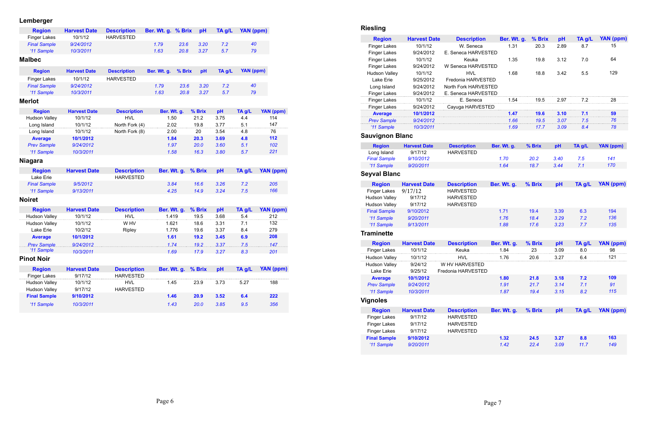# **Lemberger**

| <b>Region</b>        | <b>Harvest Date</b> | <b>Description</b> | Ber. Wt. g. % Brix |        | pH     | TA g/L | YAN (ppm)        |                  |
|----------------------|---------------------|--------------------|--------------------|--------|--------|--------|------------------|------------------|
| <b>Finger Lakes</b>  | 10/1/12             | <b>HARVESTED</b>   |                    |        |        |        |                  |                  |
| <b>Final Sample</b>  | 9/24/2012           |                    | 1.79               | 23.6   | 3.20   | 7.2    | 40               |                  |
| '11 Sample           | 10/3/2011           |                    | 1.63               | 20.8   | 3.27   | 5.7    | 79               |                  |
| <b>Malbec</b>        |                     |                    |                    |        |        |        |                  |                  |
| <b>Region</b>        | <b>Harvest Date</b> | <b>Description</b> | Ber. Wt. g.        | % Brix | pH     | TA g/L | <b>YAN (ppm)</b> |                  |
| <b>Finger Lakes</b>  | 10/1/12             | <b>HARVESTED</b>   |                    |        |        |        |                  |                  |
| <b>Final Sample</b>  | 9/24/2012           |                    | 1.79               | 23.6   | 3.20   | 7.2    | 40               |                  |
| '11 Sample           | 10/3/2011           |                    | 1.63               | 20.8   | 3.27   | 5.7    | 79               |                  |
| <b>Merlot</b>        |                     |                    |                    |        |        |        |                  |                  |
| <b>Region</b>        | <b>Harvest Date</b> | <b>Description</b> | Ber. Wt. g.        |        | % Brix | pH     | TA g/L           | YAN (ppm)        |
| <b>Hudson Valley</b> | 10/1/12             | <b>HVL</b>         | 1.50               |        | 21.2   | 3.75   | 4.4              | 114              |
| Long Island          | 10/1/12             | North Fork (4)     | 2.02               |        | 19.8   | 3.77   | 5.1              | 147              |
| Long Island          | 10/1/12             | North Fork (8)     | 2.00               |        | 20     | 3.54   | 4.8              | 76               |
| <b>Average</b>       | 10/1/2012           |                    | 1.84               |        | 20.3   | 3.69   | 4.8              | 112              |
| <b>Prev Sample</b>   | 9/24/2012           |                    | 1.97               |        | 20.0   | 3.60   | 5.1              | 102              |
| '11 Sample           | 10/3/2011           |                    | 1.58               |        | 16.3   | 3.80   | 5.7              | 221              |
| <b>Niagara</b>       |                     |                    |                    |        |        |        |                  |                  |
| <b>Region</b>        | <b>Harvest Date</b> | <b>Description</b> | Ber. Wt. g.        |        | % Brix | pH     | TA g/L           | <b>YAN (ppm)</b> |
| Lake Erie            |                     | <b>HARVESTED</b>   |                    |        |        |        |                  |                  |
| <b>Final Sample</b>  | 9/5/2012            |                    | 3.84               |        | 16.6   | 3.26   | 7.2              | 205              |
| '11 Sample           | 9/13/2011           |                    | 4.25               |        | 14.9   | 3.24   | 7.5              | 166              |
| <b>Noiret</b>        |                     |                    |                    |        |        |        |                  |                  |
| <b>Region</b>        | <b>Harvest Date</b> | <b>Description</b> | Ber. Wt. g.        |        | % Brix | pH     | TA g/L           | <b>YAN (ppm)</b> |
| <b>Hudson Valley</b> | 10/1/12             | <b>HVL</b>         | 1.419              |        | 19.5   | 3.68   | 5.4              | 212              |
| <b>Hudson Valley</b> | 10/1/12             | W HV               | 1.621              |        | 18.6   | 3.31   | 7.1              | 132              |
| Lake Erie            | 10/2/12             | Ripley             | 1.776              |        | 19.6   | 3.37   | 8.4              | 279              |
| <b>Average</b>       | 10/1/2012           |                    | 1.61               |        | 19.2   | 3.45   | 6.9              | 208              |
| <b>Prev Sample</b>   | 9/24/2012           |                    | 1.74               |        | 19.2   | 3.37   | 7.5              | 147              |
| '11 Sample           | 10/3/2011           |                    | 1.69               |        | 17.9   | 3.27   | 8.3              | 201              |
| <b>Pinot Noir</b>    |                     |                    |                    |        |        |        |                  |                  |
| <b>Region</b>        | <b>Harvest Date</b> | <b>Description</b> | Ber. Wt. g.        |        | % Brix | pH     | TA g/L           | <b>YAN (ppm)</b> |
| <b>Finger Lakes</b>  | 9/17/12             | <b>HARVESTED</b>   |                    |        |        |        |                  |                  |
| Hudson Valley        | 10/1/12             | <b>HVL</b>         | 1.45               |        | 23.9   | 3.73   | 5.27             | 188              |
| <b>Hudson Valley</b> | 9/17/12             | <b>HARVESTED</b>   |                    |        |        |        |                  |                  |
| <b>Final Sample</b>  | 9/10/2012           |                    | 1.46               |        | 20.9   | 3.52   | 6.4              | 222              |
| '11 Sample           | 10/3/2011           |                    | 1.43               |        | 20.0   | 3.85   | 9.5              | 356              |

| <b>Riesling</b>        |                     |                      |             |        |      |        |                  |  |  |
|------------------------|---------------------|----------------------|-------------|--------|------|--------|------------------|--|--|
| <b>Region</b>          | <b>Harvest Date</b> | <b>Description</b>   | Ber. Wt. g. | % Brix | pH   | TA g/L | <b>YAN (ppm)</b> |  |  |
| <b>Finger Lakes</b>    | 10/1/12             | W. Seneca            | 1.31        | 20.3   | 2.89 | 8.7    | 15               |  |  |
| <b>Finger Lakes</b>    | 9/24/2012           | E. Seneca HARVESTED  |             |        |      |        |                  |  |  |
| <b>Finger Lakes</b>    | 10/1/12             | Keuka                | 1.35        | 19.8   | 3.12 | 7.0    | 64               |  |  |
| <b>Finger Lakes</b>    | 9/24/2012           | W Seneca HARVESTED   |             |        |      |        |                  |  |  |
| <b>Hudson Valley</b>   | 10/1/12             | <b>HVL</b>           | 1.68        | 18.8   | 3.42 | 5.5    | 129              |  |  |
| Lake Erie              | 9/25/2012           | Fredonia HARVESTED   |             |        |      |        |                  |  |  |
| Long Island            | 9/24/2012           | North Fork HARVESTED |             |        |      |        |                  |  |  |
| <b>Finger Lakes</b>    | 9/24/2012           | E. Seneca HARVESTED  |             |        |      |        |                  |  |  |
| <b>Finger Lakes</b>    | 10/1/12             | E. Seneca            | 1.54        | 19.5   | 2.97 | 7.2    | 28               |  |  |
| <b>Finger Lakes</b>    | 9/24/2012           | Cayuga HARVESTED     |             |        |      |        |                  |  |  |
| <b>Average</b>         | 10/1/2012           |                      | 1.47        | 19.6   | 3.10 | 7.1    | 59               |  |  |
| <b>Prev Sample</b>     | 9/24/2012           |                      | 1.66        | 19.5   | 3.07 | 7.5    | 76               |  |  |
| '11 Sample             | 10/3/2011           |                      | 1.69        | 17.7   | 3.09 | 8.4    | 78               |  |  |
| <b>Sauvignon Blanc</b> |                     |                      |             |        |      |        |                  |  |  |
| <b>Region</b>          | <b>Harvest Date</b> | <b>Description</b>   | Ber. Wt. g. | % Brix | pH   | TA g/L | YAN (ppm)        |  |  |
| Long Island            | 9/17/12             | <b>HARVESTED</b>     |             |        |      |        |                  |  |  |
| <b>Final Sample</b>    | 9/10/2012           |                      | 1.70        | 20.2   | 3.40 | 7.5    | 141              |  |  |
| '11 Sample             | 9/20/2011           |                      | 1.64        | 18.7   | 3.44 | 7.1    | 170              |  |  |
| <b>Seyval Blanc</b>    |                     |                      |             |        |      |        |                  |  |  |
| <b>Region</b>          | <b>Harvest Date</b> | <b>Description</b>   | Ber. Wt. g. | % Brix | pH   | TA g/L | <b>YAN (ppm)</b> |  |  |
| <b>Finger Lakes</b>    | 9/17/12             | <b>HARVESTED</b>     |             |        |      |        |                  |  |  |
| <b>Hudson Valley</b>   | 9/17/12             | <b>HARVESTED</b>     |             |        |      |        |                  |  |  |
| <b>Hudson Valley</b>   | 9/17/12             | <b>HARVESTED</b>     |             |        |      |        |                  |  |  |
| <b>Final Sample</b>    | 9/10/2012           |                      | 1.71        | 19.4   | 3.39 | 6.3    | 194              |  |  |
| '11 Sample             | 9/20/2011           |                      | 1.76        | 18.4   | 3.29 | 7.2    | 136              |  |  |
| '11 Sample             | 9/13/2011           |                      | 1.88        | 17.6   | 3.23 | 7.7    | 135              |  |  |
| <b>Traminette</b>      |                     |                      |             |        |      |        |                  |  |  |
| <b>Region</b>          | <b>Harvest Date</b> | <b>Description</b>   | Ber. Wt. g. | % Brix | pH   | TA g/L | <b>YAN (ppm)</b> |  |  |
| Finger Lakes           | 10/1/12             | Keuka                | 1.84        | 23     | 3.09 | 8.0    | 98               |  |  |
| <b>Hudson Valley</b>   | 10/1/12             | <b>HVL</b>           | 1.76        | 20.6   | 3.27 | 6.4    | 121              |  |  |
| <b>Hudson Valley</b>   | 9/24/12             | W HV HARVESTED       |             |        |      |        |                  |  |  |
| Lake Erie              | 9/25/12             | Fredonia HARVESTED   |             |        |      |        |                  |  |  |
| <b>Average</b>         | 10/1/2012           |                      | 1.80        | 21.8   | 3.18 | 7.2    | 109              |  |  |
| <b>Prev Sample</b>     | 9/24/2012           |                      | 1.91        | 21.7   | 3.14 | 7.1    | 91               |  |  |
| '11 Sample             | 10/3/2011           |                      | 1.87        | 19.4   | 3.15 | 8.2    | 115              |  |  |
| <b>Vignoles</b>        |                     |                      |             |        |      |        |                  |  |  |
| <b>Region</b>          | <b>Harvest Date</b> | <b>Description</b>   | Ber. Wt. g. | % Brix | pH   | TA g/L | <b>YAN (ppm)</b> |  |  |
| Finger Lakes           | 9/17/12             | <b>HARVESTED</b>     |             |        |      |        |                  |  |  |
| <b>Finger Lakes</b>    | 9/17/12             | <b>HARVESTED</b>     |             |        |      |        |                  |  |  |
| <b>Finger Lakes</b>    | 9/17/12             | <b>HARVESTED</b>     |             |        |      |        |                  |  |  |
| <b>Final Sample</b>    | 9/10/2012           |                      | 1.32        | 24.5   | 3.27 | 8.8    | 163              |  |  |
| '11 Sample             | 9/20/2011           |                      | 1.42        | 22.4   | 3.09 | 11.7   | 149              |  |  |